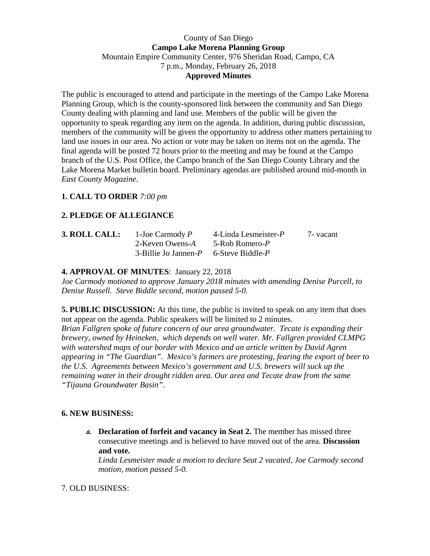### County of San Diego **Campo Lake Morena Planning Group**  Mountain Empire Community Center, 976 Sheridan Road, Campo, CA 7 p.m., Monday, February 26, 2018 **Approved Minutes**

The public is encouraged to attend and participate in the meetings of the Campo Lake Morena Planning Group, which is the county-sponsored link between the community and San Diego County dealing with planning and land use. Members of the public will be given the opportunity to speak regarding any item on the agenda. In addition, during public discussion, members of the community will be given the opportunity to address other matters pertaining to land use issues in our area. No action or vote may be taken on items not on the agenda. The final agenda will be posted 72 hours prior to the meeting and may be found at the Campo branch of the U.S. Post Office, the Campo branch of the San Diego County Library and the Lake Morena Market bulletin board. Preliminary agendas are published around mid-month in *East County Magazine*.

#### **1. CALL TO ORDER** *7:00 pm*

## **2. PLEDGE OF ALLEGIANCE**

| 3. ROLL CALL: | 1-Joe Carmody $P$                              | 4-Linda Lesmeister- $P$ | 7 - vacant |
|---------------|------------------------------------------------|-------------------------|------------|
|               | 2-Keven Owens-A                                | 5-Rob Romero-P          |            |
|               | $3$ -Billie Jo Jannen- $P$ 6-Steve Biddle- $P$ |                         |            |

## **4. APPROVAL OF MINUTES**: January 22, 2018

*Joe Carmody motioned to approve January 2018 minutes with amending Denise Purcell, to Denise Russell. Steve Biddle second, motion passed 5-0.* 

**5. PUBLIC DISCUSSION:** At this time, the public is invited to speak on any item that does not appear on the agenda. Public speakers will be limited to 2 minutes.

*Brian Fallgren spoke of future concern of our area groundwater. Tecate is expanding their brewery, owned by Heineken, which depends on well water. Mr. Fallgren provided CLMPG with watershed maps of our border with Mexico and an article written by David Agren appearing in "The Guardian". Mexico's farmers are protesting, fearing the export of beer to the U.S. Agreements between Mexico's government and U.S. brewers will suck up the remaining water in their drought ridden area. Our area and Tecate draw from the same "Tijauna Groundwater Basin".* 

#### **6. NEW BUSINESS:**

**a. Declaration of forfeit and vacancy in Seat 2.** The member has missed three consecutive meetings and is believed to have moved out of the area. **Discussion and vote.**

*Linda Lesmeister made a motion to declare Seat 2 vacated, Joe Carmody second motion, motion passed 5-0.* 

#### 7. OLD BUSINESS: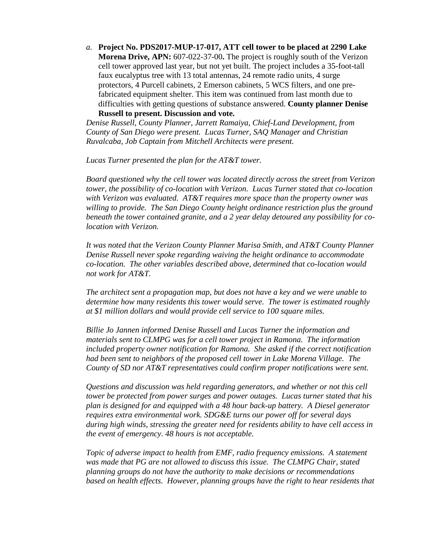*a.* **Project No. PDS2017-MUP-17-017, ATT cell tower to be placed at 2290 Lake Morena Drive, APN:** 607-022-37-00**.** The project is roughly south of the Verizon cell tower approved last year, but not yet built. The project includes a 35-foot-tall faux eucalyptus tree with 13 total antennas, 24 remote radio units, 4 surge protectors, 4 Purcell cabinets, 2 Emerson cabinets, 5 WCS filters, and one prefabricated equipment shelter. This item was continued from last month due to difficulties with getting questions of substance answered. **County planner Denise Russell to present. Discussion and vote.** 

*Denise Russell, County Planner, Jarrett Ramaiya, Chief-Land Development, from County of San Diego were present. Lucas Turner, SAQ Manager and Christian Ruvalcaba, Job Captain from Mitchell Architects were present.* 

 *Lucas Turner presented the plan for the AT&T tower.* 

*Board questioned why the cell tower was located directly across the street from Verizon tower, the possibility of co-location with Verizon. Lucas Turner stated that co-location with Verizon was evaluated. AT&T requires more space than the property owner was willing to provide. The San Diego County height ordinance restriction plus the ground beneath the tower contained granite, and a 2 year delay detoured any possibility for colocation with Verizon.* 

*It was noted that the Verizon County Planner Marisa Smith, and AT&T County Planner Denise Russell never spoke regarding waiving the height ordinance to accommodate co-location. The other variables described above, determined that co-location would not work for AT&T.* 

*The architect sent a propagation map, but does not have a key and we were unable to determine how many residents this tower would serve. The tower is estimated roughly at \$1 million dollars and would provide cell service to 100 square miles.* 

*Billie Jo Jannen informed Denise Russell and Lucas Turner the information and materials sent to CLMPG was for a cell tower project in Ramona. The information included property owner notification for Ramona. She asked if the correct notification had been sent to neighbors of the proposed cell tower in Lake Morena Village. The County of SD nor AT&T representatives could confirm proper notifications were sent.* 

*Questions and discussion was held regarding generators, and whether or not this cell tower be protected from power surges and power outages. Lucas turner stated that his plan is designed for and equipped with a 48 hour back-up battery. A Diesel generator requires extra environmental work. SDG&E turns our power off for several days during high winds, stressing the greater need for residents ability to have cell access in the event of emergency. 48 hours is not acceptable.*

*Topic of adverse impact to health from EMF, radio frequency emissions. A statement was made that PG are not allowed to discuss this issue. The CLMPG Chair, stated planning groups do not have the authority to make decisions or recommendations based on health effects. However, planning groups have the right to hear residents that*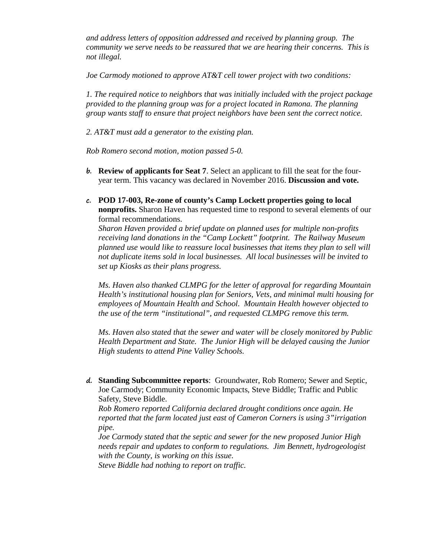*and address letters of opposition addressed and received by planning group. The community we serve needs to be reassured that we are hearing their concerns. This is not illegal.* 

*Joe Carmody motioned to approve AT&T cell tower project with two conditions:* 

*1. The required notice to neighbors that was initially included with the project package provided to the planning group was for a project located in Ramona. The planning group wants staff to ensure that project neighbors have been sent the correct notice.* 

*2. AT&T must add a generator to the existing plan.* 

*Rob Romero second motion, motion passed 5-0.* 

- **b. Review of applicants for Seat 7**. Select an applicant to fill the seat for the fouryear term. This vacancy was declared in November 2016. **Discussion and vote.**
- **c. POD 17-003, Re-zone of county's Camp Lockett properties going to local nonprofits.** Sharon Haven has requested time to respond to several elements of our formal recommendations.

*Sharon Haven provided a brief update on planned uses for multiple non-profits receiving land donations in the "Camp Lockett" footprint. The Railway Museum planned use would like to reassure local businesses that items they plan to sell will not duplicate items sold in local businesses. All local businesses will be invited to set up Kiosks as their plans progress.* 

*Ms. Haven also thanked CLMPG for the letter of approval for regarding Mountain Health's institutional housing plan for Seniors, Vets, and minimal multi housing for employees of Mountain Health and School. Mountain Health however objected to the use of the term "institutional", and requested CLMPG remove this term.* 

*Ms. Haven also stated that the sewer and water will be closely monitored by Public Health Department and State. The Junior High will be delayed causing the Junior High students to attend Pine Valley Schools.* 

**d. Standing Subcommittee reports**: Groundwater, Rob Romero; Sewer and Septic, Joe Carmody; Community Economic Impacts, Steve Biddle; Traffic and Public Safety, Steve Biddle.

*Rob Romero reported California declared drought conditions once again. He reported that the farm located just east of Cameron Corners is using 3"irrigation pipe.* 

*Joe Carmody stated that the septic and sewer for the new proposed Junior High needs repair and updates to conform to regulations. Jim Bennett, hydrogeologist with the County, is working on this issue.* 

*Steve Biddle had nothing to report on traffic.*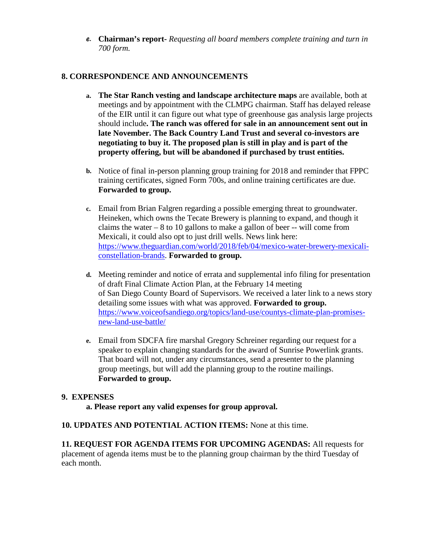**e. Chairman's report-** *Requesting all board members complete training and turn in 700 form.*

# **8. CORRESPONDENCE AND ANNOUNCEMENTS**

- **a. The Star Ranch vesting and landscape architecture maps** are available, both at meetings and by appointment with the CLMPG chairman. Staff has delayed release of the EIR until it can figure out what type of greenhouse gas analysis large projects should include**. The ranch was offered for sale in an announcement sent out in late November. The Back Country Land Trust and several co-investors are negotiating to buy it. The proposed plan is still in play and is part of the property offering, but will be abandoned if purchased by trust entities.**
- **b.** Notice of final in-person planning group training for 2018 and reminder that FPPC training certificates, signed Form 700s, and online training certificates are due. **Forwarded to group.**
- **c.** Email from Brian Falgren regarding a possible emerging threat to groundwater. Heineken, which owns the Tecate Brewery is planning to expand, and though it claims the water  $-8$  to 10 gallons to make a gallon of beer  $-$  will come from Mexicali, it could also opt to just drill wells. News link here: https://www.theguardian.com/world/2018/feb/04/mexico-water-brewery-mexicaliconstellation-brands. **Forwarded to group.**
- **d.** Meeting reminder and notice of errata and supplemental info filing for presentation of draft Final Climate Action Plan, at the February 14 meeting of San Diego County Board of Supervisors. We received a later link to a news story detailing some issues with what was approved. **Forwarded to group.** https://www.voiceofsandiego.org/topics/land-use/countys-climate-plan-promisesnew-land-use-battle/
- **e.** Email from SDCFA fire marshal Gregory Schreiner regarding our request for a speaker to explain changing standards for the award of Sunrise Powerlink grants. That board will not, under any circumstances, send a presenter to the planning group meetings, but will add the planning group to the routine mailings. **Forwarded to group.**

#### **9. EXPENSES**

**a. Please report any valid expenses for group approval.** 

#### **10. UPDATES AND POTENTIAL ACTION ITEMS:** None at this time.

**11. REQUEST FOR AGENDA ITEMS FOR UPCOMING AGENDAS:** All requests for placement of agenda items must be to the planning group chairman by the third Tuesday of each month.